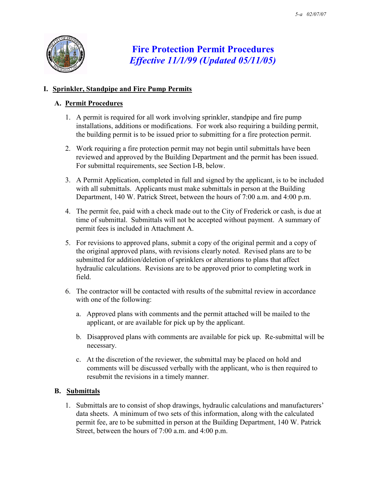

# Fire Protection Permit Procedures Effective 11/1/99 (Updated 05/11/05)

# I. Sprinkler, Standpipe and Fire Pump Permits

# A. Permit Procedures

- 1. A permit is required for all work involving sprinkler, standpipe and fire pump installations, additions or modifications. For work also requiring a building permit, the building permit is to be issued prior to submitting for a fire protection permit.
- 2. Work requiring a fire protection permit may not begin until submittals have been reviewed and approved by the Building Department and the permit has been issued. For submittal requirements, see Section I-B, below.
- 3. A Permit Application, completed in full and signed by the applicant, is to be included with all submittals. Applicants must make submittals in person at the Building Department, 140 W. Patrick Street, between the hours of 7:00 a.m. and 4:00 p.m.
- 4. The permit fee, paid with a check made out to the City of Frederick or cash, is due at time of submittal. Submittals will not be accepted without payment. A summary of permit fees is included in Attachment A.
- 5. For revisions to approved plans, submit a copy of the original permit and a copy of the original approved plans, with revisions clearly noted. Revised plans are to be submitted for addition/deletion of sprinklers or alterations to plans that affect hydraulic calculations. Revisions are to be approved prior to completing work in field.
- 6. The contractor will be contacted with results of the submittal review in accordance with one of the following:
	- a. Approved plans with comments and the permit attached will be mailed to the applicant, or are available for pick up by the applicant.
	- b. Disapproved plans with comments are available for pick up. Re-submittal will be necessary.
	- c. At the discretion of the reviewer, the submittal may be placed on hold and comments will be discussed verbally with the applicant, who is then required to resubmit the revisions in a timely manner.

# B. Submittals

1. Submittals are to consist of shop drawings, hydraulic calculations and manufacturers' data sheets. A minimum of two sets of this information, along with the calculated permit fee, are to be submitted in person at the Building Department, 140 W. Patrick Street, between the hours of 7:00 a.m. and 4:00 p.m.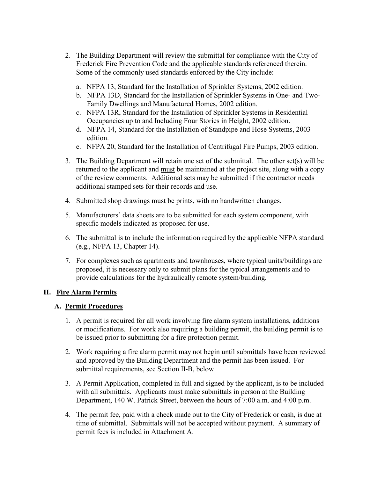- 2. The Building Department will review the submittal for compliance with the City of Frederick Fire Prevention Code and the applicable standards referenced therein. Some of the commonly used standards enforced by the City include:
	- a. NFPA 13, Standard for the Installation of Sprinkler Systems, 2002 edition.
	- b. NFPA 13D, Standard for the Installation of Sprinkler Systems in One- and Two-Family Dwellings and Manufactured Homes, 2002 edition.
	- c. NFPA 13R, Standard for the Installation of Sprinkler Systems in Residential Occupancies up to and Including Four Stories in Height, 2002 edition.
	- d. NFPA 14, Standard for the Installation of Standpipe and Hose Systems, 2003 edition.
	- e. NFPA 20, Standard for the Installation of Centrifugal Fire Pumps, 2003 edition.
- 3. The Building Department will retain one set of the submittal. The other set(s) will be returned to the applicant and must be maintained at the project site, along with a copy of the review comments. Additional sets may be submitted if the contractor needs additional stamped sets for their records and use.
- 4. Submitted shop drawings must be prints, with no handwritten changes.
- 5. Manufacturers' data sheets are to be submitted for each system component, with specific models indicated as proposed for use.
- 6. The submittal is to include the information required by the applicable NFPA standard (e.g., NFPA 13, Chapter 14).
- 7. For complexes such as apartments and townhouses, where typical units/buildings are proposed, it is necessary only to submit plans for the typical arrangements and to provide calculations for the hydraulically remote system/building.

# II. Fire Alarm Permits

# A. Permit Procedures

- 1. A permit is required for all work involving fire alarm system installations, additions or modifications. For work also requiring a building permit, the building permit is to be issued prior to submitting for a fire protection permit.
- 2. Work requiring a fire alarm permit may not begin until submittals have been reviewed and approved by the Building Department and the permit has been issued. For submittal requirements, see Section II-B, below
- 3. A Permit Application, completed in full and signed by the applicant, is to be included with all submittals. Applicants must make submittals in person at the Building Department, 140 W. Patrick Street, between the hours of 7:00 a.m. and 4:00 p.m.
- 4. The permit fee, paid with a check made out to the City of Frederick or cash, is due at time of submittal. Submittals will not be accepted without payment. A summary of permit fees is included in Attachment A.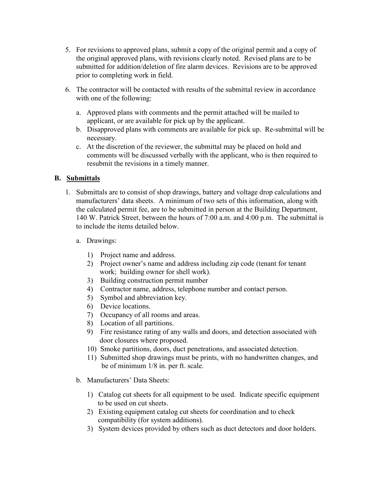- 5. For revisions to approved plans, submit a copy of the original permit and a copy of the original approved plans, with revisions clearly noted. Revised plans are to be submitted for addition/deletion of fire alarm devices. Revisions are to be approved prior to completing work in field.
- 6. The contractor will be contacted with results of the submittal review in accordance with one of the following:
	- a. Approved plans with comments and the permit attached will be mailed to applicant, or are available for pick up by the applicant.
	- b. Disapproved plans with comments are available for pick up. Re-submittal will be necessary.
	- c. At the discretion of the reviewer, the submittal may be placed on hold and comments will be discussed verbally with the applicant, who is then required to resubmit the revisions in a timely manner.

# B. Submittals

- 1. Submittals are to consist of shop drawings, battery and voltage drop calculations and manufacturers' data sheets. A minimum of two sets of this information, along with the calculated permit fee, are to be submitted in person at the Building Department, 140 W. Patrick Street, between the hours of 7:00 a.m. and 4:00 p.m. The submittal is to include the items detailed below.
	- a. Drawings:
		- 1) Project name and address.
		- 2) Project owner's name and address including zip code (tenant for tenant work; building owner for shell work).
		- 3) Building construction permit number
		- 4) Contractor name, address, telephone number and contact person.
		- 5) Symbol and abbreviation key.
		- 6) Device locations.
		- 7) Occupancy of all rooms and areas.
		- 8) Location of all partitions.
		- 9) Fire resistance rating of any walls and doors, and detection associated with door closures where proposed.
		- 10) Smoke partitions, doors, duct penetrations, and associated detection.
		- 11) Submitted shop drawings must be prints, with no handwritten changes, and be of minimum 1/8 in. per ft. scale.
	- b. Manufacturers' Data Sheets:
		- 1) Catalog cut sheets for all equipment to be used. Indicate specific equipment to be used on cut sheets.
		- 2) Existing equipment catalog cut sheets for coordination and to check compatibility (for system additions).
		- 3) System devices provided by others such as duct detectors and door holders.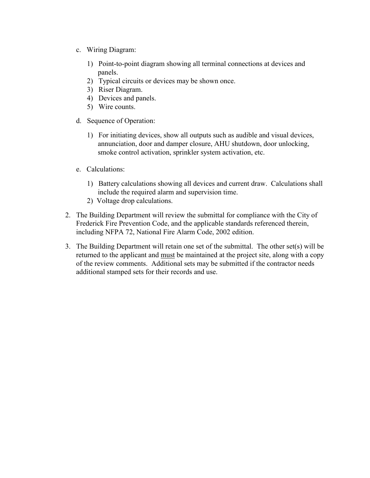- c. Wiring Diagram:
	- 1) Point-to-point diagram showing all terminal connections at devices and panels.
	- 2) Typical circuits or devices may be shown once.
	- 3) Riser Diagram.
	- 4) Devices and panels.
	- 5) Wire counts.
- d. Sequence of Operation:
	- 1) For initiating devices, show all outputs such as audible and visual devices, annunciation, door and damper closure, AHU shutdown, door unlocking, smoke control activation, sprinkler system activation, etc.
- e. Calculations:
	- 1) Battery calculations showing all devices and current draw. Calculations shall include the required alarm and supervision time.
	- 2) Voltage drop calculations.
- 2. The Building Department will review the submittal for compliance with the City of Frederick Fire Prevention Code, and the applicable standards referenced therein, including NFPA 72, National Fire Alarm Code, 2002 edition.
- 3. The Building Department will retain one set of the submittal. The other set(s) will be returned to the applicant and must be maintained at the project site, along with a copy of the review comments. Additional sets may be submitted if the contractor needs additional stamped sets for their records and use.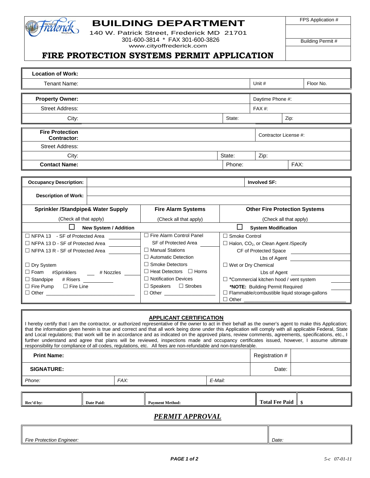| <b>Location of Work:</b>                                                                                                                                                                                                                                                                                                                                                                                                                                                                                                                                                                                                                                                                                                                     |                                    |                      |                                                         |      |    |  |  |  |
|----------------------------------------------------------------------------------------------------------------------------------------------------------------------------------------------------------------------------------------------------------------------------------------------------------------------------------------------------------------------------------------------------------------------------------------------------------------------------------------------------------------------------------------------------------------------------------------------------------------------------------------------------------------------------------------------------------------------------------------------|------------------------------------|----------------------|---------------------------------------------------------|------|----|--|--|--|
| Tenant Name:                                                                                                                                                                                                                                                                                                                                                                                                                                                                                                                                                                                                                                                                                                                                 | Unit #                             |                      | Floor No.                                               |      |    |  |  |  |
| <b>Property Owner:</b>                                                                                                                                                                                                                                                                                                                                                                                                                                                                                                                                                                                                                                                                                                                       |                                    | Daytime Phone #:     |                                                         |      |    |  |  |  |
| <b>Street Address:</b>                                                                                                                                                                                                                                                                                                                                                                                                                                                                                                                                                                                                                                                                                                                       |                                    | FAX#:                |                                                         |      |    |  |  |  |
| City:                                                                                                                                                                                                                                                                                                                                                                                                                                                                                                                                                                                                                                                                                                                                        |                                    | State:               |                                                         | Zip: |    |  |  |  |
| <b>Fire Protection</b><br><b>Contractor:</b>                                                                                                                                                                                                                                                                                                                                                                                                                                                                                                                                                                                                                                                                                                 |                                    |                      | Contractor License #:                                   |      |    |  |  |  |
| <b>Street Address:</b>                                                                                                                                                                                                                                                                                                                                                                                                                                                                                                                                                                                                                                                                                                                       |                                    |                      |                                                         |      |    |  |  |  |
| City:                                                                                                                                                                                                                                                                                                                                                                                                                                                                                                                                                                                                                                                                                                                                        | State:                             |                      |                                                         |      |    |  |  |  |
| <b>Contact Name:</b>                                                                                                                                                                                                                                                                                                                                                                                                                                                                                                                                                                                                                                                                                                                         | Phone:                             |                      | FAX:                                                    |      |    |  |  |  |
| <b>Occupancy Description:</b>                                                                                                                                                                                                                                                                                                                                                                                                                                                                                                                                                                                                                                                                                                                |                                    |                      | <b>Involved SF:</b>                                     |      |    |  |  |  |
| <b>Description of Work:</b>                                                                                                                                                                                                                                                                                                                                                                                                                                                                                                                                                                                                                                                                                                                  |                                    |                      |                                                         |      |    |  |  |  |
| <b>Sprinkler /Standpipe&amp; Water Supply</b>                                                                                                                                                                                                                                                                                                                                                                                                                                                                                                                                                                                                                                                                                                | <b>Fire Alarm Systems</b>          |                      | <b>Other Fire Protection Systems</b>                    |      |    |  |  |  |
| (Check all that apply)                                                                                                                                                                                                                                                                                                                                                                                                                                                                                                                                                                                                                                                                                                                       | (Check all that apply)             |                      | (Check all that apply)                                  |      |    |  |  |  |
| $\Box$<br>New System / Addition                                                                                                                                                                                                                                                                                                                                                                                                                                                                                                                                                                                                                                                                                                              |                                    | □                    | <b>System Modification</b>                              |      |    |  |  |  |
| □ NFPA 13 - SF of Protected Area                                                                                                                                                                                                                                                                                                                                                                                                                                                                                                                                                                                                                                                                                                             |                                    | $\Box$ Smoke Control |                                                         |      |    |  |  |  |
| □ NFPA 13 D - SF of Protected Area                                                                                                                                                                                                                                                                                                                                                                                                                                                                                                                                                                                                                                                                                                           | SF of Protected Area               |                      | $\Box$ Halon, CO <sub>2</sub> , or Clean Agent /Specify |      |    |  |  |  |
| $\Box$ NFPA 13 R - SF of Protected Area                                                                                                                                                                                                                                                                                                                                                                                                                                                                                                                                                                                                                                                                                                      | $\Box$ Manual Stations             |                      | CF of Protected Space                                   |      |    |  |  |  |
|                                                                                                                                                                                                                                                                                                                                                                                                                                                                                                                                                                                                                                                                                                                                              | $\Box$ Automatic Detection         |                      | Lbs of Agent                                            |      |    |  |  |  |
| $\Box$ Dry System                                                                                                                                                                                                                                                                                                                                                                                                                                                                                                                                                                                                                                                                                                                            | $\Box$ Smoke Detectors             |                      | $\Box$ Wet or Dry Chemical                              |      |    |  |  |  |
| □ Foam #Sprinklers ___ # Nozzles ___                                                                                                                                                                                                                                                                                                                                                                                                                                                                                                                                                                                                                                                                                                         | $\Box$ Heat Detectors $\Box$ Horns |                      | Lbs of Agent                                            |      |    |  |  |  |
|                                                                                                                                                                                                                                                                                                                                                                                                                                                                                                                                                                                                                                                                                                                                              | $\Box$ Notification Devices        |                      | $\Box$ *Commercial kitchen hood / vent system           |      |    |  |  |  |
| $\Box$ Fire Pump $\Box$ Fire Line                                                                                                                                                                                                                                                                                                                                                                                                                                                                                                                                                                                                                                                                                                            | $\Box$ Speakers $\Box$ Strobes     |                      | *NOTE: Building Permit Required                         |      |    |  |  |  |
|                                                                                                                                                                                                                                                                                                                                                                                                                                                                                                                                                                                                                                                                                                                                              | □ Other ______________             |                      | $\Box$ Flammable/combustible liquid storage-gallons     |      |    |  |  |  |
|                                                                                                                                                                                                                                                                                                                                                                                                                                                                                                                                                                                                                                                                                                                                              |                                    | $\Box$ Other         |                                                         |      |    |  |  |  |
|                                                                                                                                                                                                                                                                                                                                                                                                                                                                                                                                                                                                                                                                                                                                              | <b>APPLICANT CERTIFICATION</b>     |                      |                                                         |      |    |  |  |  |
| I hereby certify that I am the contractor, or authorized representative of the owner to act in their behalf as the owner's agent to make this Application;<br>that the information given herein is true and correct and that all work being done under this Application will comply with all applicable Federal, State<br>and Local regulations; that work will be in accordance and as indicated on the approved plans, review comments, agreements, specifications, etc., I<br>further understand and agree that plans will be reviewed, inspections made and occupancy certificates issued, however, I assume ultimate<br>responsibility for compliance of all codes, regulations, etc. All fees are non-refundable and non-transferable. |                                    |                      |                                                         |      |    |  |  |  |
| <b>Print Name:</b>                                                                                                                                                                                                                                                                                                                                                                                                                                                                                                                                                                                                                                                                                                                           |                                    | Registration #       |                                                         |      |    |  |  |  |
| <b>SIGNATURE:</b>                                                                                                                                                                                                                                                                                                                                                                                                                                                                                                                                                                                                                                                                                                                            |                                    |                      | Date:                                                   |      |    |  |  |  |
| FAX:<br>Phone:                                                                                                                                                                                                                                                                                                                                                                                                                                                                                                                                                                                                                                                                                                                               |                                    | E-Mail:              |                                                         |      |    |  |  |  |
|                                                                                                                                                                                                                                                                                                                                                                                                                                                                                                                                                                                                                                                                                                                                              |                                    |                      | <b>Total Fee Paid</b>                                   |      | \$ |  |  |  |
| Date Paid:<br>Rec'd by:                                                                                                                                                                                                                                                                                                                                                                                                                                                                                                                                                                                                                                                                                                                      | <b>Payment Method:</b>             |                      |                                                         |      |    |  |  |  |
|                                                                                                                                                                                                                                                                                                                                                                                                                                                                                                                                                                                                                                                                                                                                              | <u>PERMIT APPROVAL</u>             |                      |                                                         |      |    |  |  |  |

FPS Application #

Building Permit #

# **BUILDING DEPARTMENT**

140 W. Patrick Street, Frederick MD 21701 301-600-3814 \* FAX 301-600-3826 www.cityoffrederick.com

erick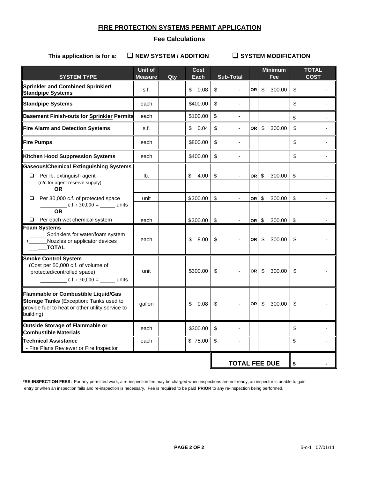## **FIRE PROTECTION SYSTEMS PERMIT APPLICATION**

### **Fee Calculations**

## This application is for a:  $\Box$  NEW SYSTEM / ADDITION  $\Box$  SYSTEM MODIFICATION

| <b>SYSTEM TYPE</b>                                                                                                                              | <b>Unit of</b><br><b>Measure</b> | Qty | Cost<br>Each | <b>Sub-Total</b>                            |                  | <b>Minimum</b><br>Fee             | <b>TOTAL</b><br><b>COST</b> |
|-------------------------------------------------------------------------------------------------------------------------------------------------|----------------------------------|-----|--------------|---------------------------------------------|------------------|-----------------------------------|-----------------------------|
| Sprinkler and Combined Sprinkler/<br><b>Standpipe Systems</b>                                                                                   | s.f.                             |     | \$<br>0.08   | \$                                          | <b>OR</b>        | \$<br>300.00                      | \$                          |
| <b>Standpipe Systems</b>                                                                                                                        | each                             |     | \$400.00     | \$                                          |                  |                                   | \$                          |
| <b>Basement Finish-outs for Sprinkler Permits</b>                                                                                               | each                             |     | \$100.00     | \$                                          |                  |                                   | \$                          |
| Fire Alarm and Detection Systems                                                                                                                | s.f.                             |     | 0.04<br>\$   | $\boldsymbol{\mathsf{S}}$<br>$\blacksquare$ | OR <sup>1</sup>  | $\sqrt[6]{\frac{1}{2}}$<br>300.00 | \$                          |
| <b>Fire Pumps</b>                                                                                                                               | each                             |     | \$800.00     | \$<br>$\overline{a}$                        |                  |                                   | \$                          |
| Kitchen Hood Suppression Systems                                                                                                                | each                             |     | \$400.00     | $\boldsymbol{\mathsf{S}}$                   |                  |                                   | \$                          |
| <b>Gaseous/Chemical Extinguishing Systems</b>                                                                                                   |                                  |     |              |                                             |                  |                                   |                             |
| Per Ib. extinguish agent                                                                                                                        | lb.                              |     | \$<br>4.00   | \$<br>$\overline{\phantom{a}}$              | OR               | $\sqrt[6]{\frac{1}{2}}$<br>300.00 | \$<br>$\blacksquare$        |
| (n/c for agent reserve supply)<br><b>OR</b>                                                                                                     |                                  |     |              |                                             |                  |                                   |                             |
| Per 30,000 c.f. of protected space<br>□                                                                                                         | unit                             |     | \$300.00     | \$<br>$\mathbf{r}$                          | OR               | $\sqrt[6]{3}$<br>300.00           | $\boldsymbol{\mathsf{S}}$   |
| c.f. $\div$ 30,000 = ________ units<br><b>OR</b>                                                                                                |                                  |     |              |                                             |                  |                                   |                             |
| $\Box$ Per each wet chemical system                                                                                                             | each                             |     | \$300.00     | \$                                          | OR <sub>\$</sub> | 300.00                            | $\sqrt[6]{\frac{1}{2}}$     |
| <b>Foam Systems</b><br>Sprinklers for water/foam system<br>Nozzles or applicator devices<br><b>TOTAL</b>                                        | each                             |     | \$<br>8.00   | \$                                          | <b>OR</b>        | \$<br>300.00                      | \$                          |
| <b>Smoke Control System</b><br>(Cost per 50,000 c.f. of volume of<br>protected/controlled space)                                                | unit                             |     | \$300.00     | \$                                          | <b>OR</b>        | \$<br>300.00                      | \$                          |
| Flammable or Combustible Liquid/Gas<br>Storage Tanks (Exception: Tanks used to<br>provide fuel to heat or other utility service to<br>building) | gallon                           |     | 0.08<br>\$   | \$                                          | <b>OR</b>        | \$<br>300.00                      | \$                          |
| Outside Storage of Flammable or<br><b>Combustible Materials</b>                                                                                 | each                             |     | \$300.00     | \$<br>$\overline{\phantom{a}}$              |                  |                                   | \$                          |
| <b>Technical Assistance</b><br>- Fire Plans Reviewer or Fire Inspector                                                                          | each                             |     | \$75.00      | \$<br>$\sim$                                |                  |                                   | \$                          |
|                                                                                                                                                 |                                  |     |              | <b>TOTAL FEE DUE</b>                        |                  |                                   | \$                          |

**\*RE-INSPECTION FEES:** For any permitted work, a re-inspection fee may be charged when inspections are not ready, an inspector is unable to gain entry or when an inspection fails and re-inspection is necessary. Fee is required to be paid **PRIOR** to any re-inspection being performed.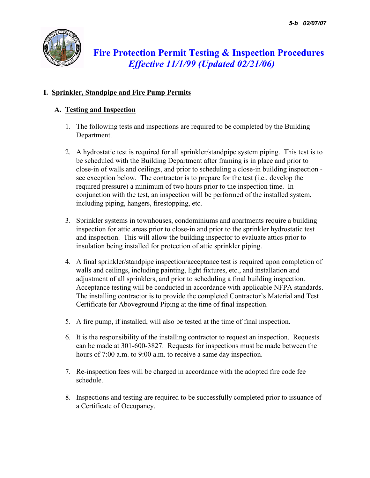

# Fire Protection Permit Testing & Inspection Procedures Effective 11/1/99 (Updated 02/21/06)

# I. Sprinkler, Standpipe and Fire Pump Permits

# A. Testing and Inspection

- 1. The following tests and inspections are required to be completed by the Building Department.
- 2. A hydrostatic test is required for all sprinkler/standpipe system piping. This test is to be scheduled with the Building Department after framing is in place and prior to close-in of walls and ceilings, and prior to scheduling a close-in building inspection see exception below. The contractor is to prepare for the test (i.e., develop the required pressure) a minimum of two hours prior to the inspection time. In conjunction with the test, an inspection will be performed of the installed system, including piping, hangers, firestopping, etc.
- 3. Sprinkler systems in townhouses, condominiums and apartments require a building inspection for attic areas prior to close-in and prior to the sprinkler hydrostatic test and inspection. This will allow the building inspector to evaluate attics prior to insulation being installed for protection of attic sprinkler piping.
- 4. A final sprinkler/standpipe inspection/acceptance test is required upon completion of walls and ceilings, including painting, light fixtures, etc., and installation and adjustment of all sprinklers, and prior to scheduling a final building inspection. Acceptance testing will be conducted in accordance with applicable NFPA standards. The installing contractor is to provide the completed Contractor's Material and Test Certificate for Aboveground Piping at the time of final inspection.
- 5. A fire pump, if installed, will also be tested at the time of final inspection.
- 6. It is the responsibility of the installing contractor to request an inspection. Requests can be made at 301-600-3827. Requests for inspections must be made between the hours of 7:00 a.m. to 9:00 a.m. to receive a same day inspection.
- 7. Re-inspection fees will be charged in accordance with the adopted fire code fee schedule.
- 8. Inspections and testing are required to be successfully completed prior to issuance of a Certificate of Occupancy.